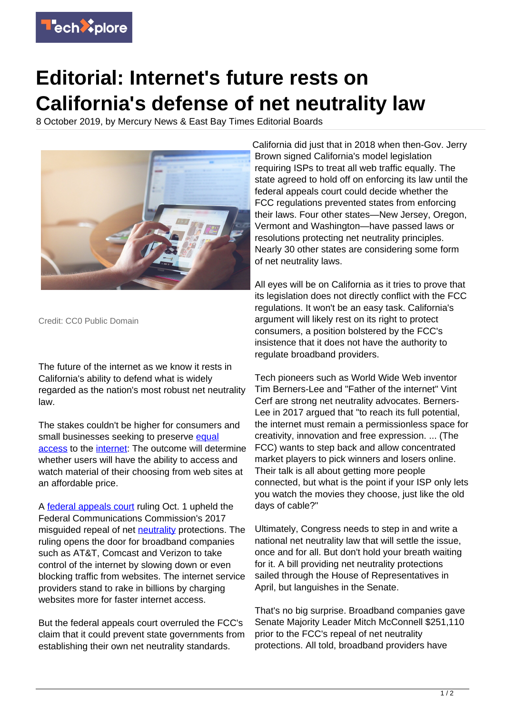

## **Editorial: Internet's future rests on California's defense of net neutrality law**

8 October 2019, by Mercury News & East Bay Times Editorial Boards



Credit: CC0 Public Domain

The future of the internet as we know it rests in California's ability to defend what is widely regarded as the nation's most robust net neutrality law.

The stakes couldn't be higher for consumers and small businesses seeking to preserve [equal](https://techxplore.com/tags/equal+access/) [access](https://techxplore.com/tags/equal+access/) to the [internet:](https://techxplore.com/tags/internet/) The outcome will determine whether users will have the ability to access and watch material of their choosing from web sites at an affordable price.

A [federal appeals court](https://techxplore.com/tags/federal+appeals+court/) ruling Oct. 1 upheld the Federal Communications Commission's 2017 misguided repeal of net **[neutrality](https://techxplore.com/tags/neutrality/)** protections. The ruling opens the door for broadband companies such as AT&T, Comcast and Verizon to take control of the internet by slowing down or even blocking traffic from websites. The internet service providers stand to rake in billions by charging websites more for faster internet access.

But the federal appeals court overruled the FCC's claim that it could prevent state governments from establishing their own net neutrality standards.

California did just that in 2018 when then-Gov. Jerry Brown signed California's model legislation requiring ISPs to treat all web traffic equally. The state agreed to hold off on enforcing its law until the federal appeals court could decide whether the FCC regulations prevented states from enforcing their laws. Four other states—New Jersey, Oregon, Vermont and Washington—have passed laws or resolutions protecting net neutrality principles. Nearly 30 other states are considering some form of net neutrality laws.

All eyes will be on California as it tries to prove that its legislation does not directly conflict with the FCC regulations. It won't be an easy task. California's argument will likely rest on its right to protect consumers, a position bolstered by the FCC's insistence that it does not have the authority to regulate broadband providers.

Tech pioneers such as World Wide Web inventor Tim Berners-Lee and "Father of the internet" Vint Cerf are strong net neutrality advocates. Berners-Lee in 2017 argued that "to reach its full potential, the internet must remain a permissionless space for creativity, innovation and free expression. ... (The FCC) wants to step back and allow concentrated market players to pick winners and losers online. Their talk is all about getting more people connected, but what is the point if your ISP only lets you watch the movies they choose, just like the old days of cable?"

Ultimately, Congress needs to step in and write a national net neutrality law that will settle the issue, once and for all. But don't hold your breath waiting for it. A bill providing net neutrality protections sailed through the House of Representatives in April, but languishes in the Senate.

That's no big surprise. Broadband companies gave Senate Majority Leader Mitch McConnell \$251,110 prior to the FCC's repeal of net neutrality protections. All told, broadband providers have